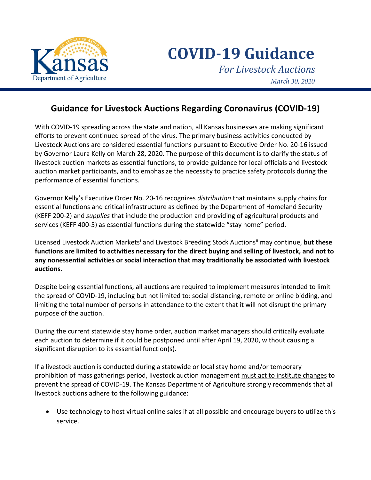

**COVID-19 Guidance** *For Livestock Auctions March 30, 2020*

## **Guidance for Livestock Auctions Regarding Coronavirus (COVID-19)**

With COVID-19 spreading across the state and nation, all Kansas businesses are making significant efforts to prevent continued spread of the virus. The primary business activities conducted by Livestock Auctions are considered essential functions pursuant to Executive Order No. 20-16 issued by Governor Laura Kelly on March 28, 2020. The purpose of this document is to clarify the status of livestock auction markets as essential functions, to provide guidance for local officials and livestock auction market participants, and to emphasize the necessity to practice safety protocols during the performance of essential functions.

Governor Kelly's Executive Order No. 20-16 recognizes *distribution* that maintains supply chains for essential functions and critical infrastructure as defined by the Department of Homeland Security (KEFF 200-2) and *supplies* that include the production and providing of agricultural products and services (KEFF 400-5) as essential functions during the statewide "stay home" period.

L[i](#page-1-0)censed Livestock Auction Markets<sup>i</sup> and Livestock Breeding Stock Auctions<sup>[ii](#page-1-1)</sup> may continue, but these **functions are limited to activities necessary for the direct buying and selling of livestock, and not to any nonessential activities or social interaction that may traditionally be associated with livestock auctions.**

Despite being essential functions, all auctions are required to implement measures intended to limit the spread of COVID-19, including but not limited to: social distancing, remote or online bidding, and limiting the total number of persons in attendance to the extent that it will not disrupt the primary purpose of the auction.

During the current statewide stay home order, auction market managers should critically evaluate each auction to determine if it could be postponed until after April 19, 2020, without causing a significant disruption to its essential function(s).

If a livestock auction is conducted during a statewide or local stay home and/or temporary prohibition of mass gatherings period, livestock auction management must act to institute changes to prevent the spread of COVID-19. The Kansas Department of Agriculture strongly recommends that all livestock auctions adhere to the following guidance:

• Use technology to host virtual online sales if at all possible and encourage buyers to utilize this service.